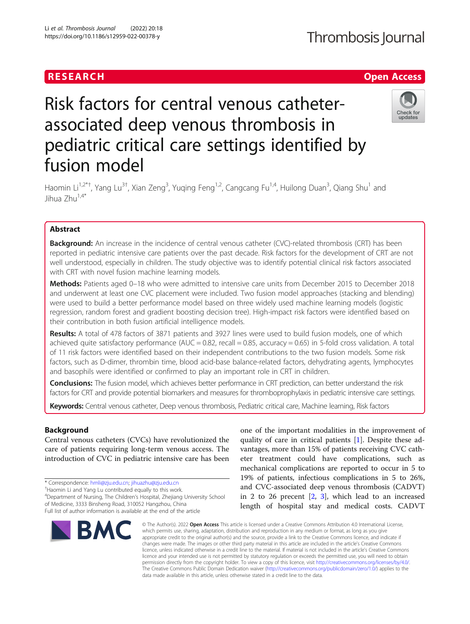## RESEARCH **RESEARCH CHANNEL EXECUTE ACCESS**

# Risk factors for central venous catheterassociated deep venous thrombosis in pediatric critical care settings identified by fusion model



Haomin Li<sup>1,2\*†</sup>, Yang Lu<sup>3†</sup>, Xian Zeng<sup>3</sup>, Yuqing Feng<sup>1,2</sup>, Cangcang Fu<sup>1,4</sup>, Huilong Duan<sup>3</sup>, Qiang Shu<sup>1</sup> and Jihua Zhu1,4\*

## Abstract

**Background:** An increase in the incidence of central venous catheter (CVC)-related thrombosis (CRT) has been reported in pediatric intensive care patients over the past decade. Risk factors for the development of CRT are not well understood, especially in children. The study objective was to identify potential clinical risk factors associated with CRT with novel fusion machine learning models.

Methods: Patients aged 0-18 who were admitted to intensive care units from December 2015 to December 2018 and underwent at least one CVC placement were included. Two fusion model approaches (stacking and blending) were used to build a better performance model based on three widely used machine learning models (logistic regression, random forest and gradient boosting decision tree). High-impact risk factors were identified based on their contribution in both fusion artificial intelligence models.

Results: A total of 478 factors of 3871 patients and 3927 lines were used to build fusion models, one of which achieved quite satisfactory performance (AUC =  $0.82$ , recall =  $0.85$ , accuracy =  $0.65$ ) in 5-fold cross validation. A total of 11 risk factors were identified based on their independent contributions to the two fusion models. Some risk factors, such as D-dimer, thrombin time, blood acid-base balance-related factors, dehydrating agents, lymphocytes and basophils were identified or confirmed to play an important role in CRT in children.

Conclusions: The fusion model, which achieves better performance in CRT prediction, can better understand the risk factors for CRT and provide potential biomarkers and measures for thromboprophylaxis in pediatric intensive care settings.

Keywords: Central venous catheter, Deep venous thrombosis, Pediatric critical care, Machine learning, Risk factors

## Background

Central venous catheters (CVCs) have revolutionized the care of patients requiring long-term venous access. The introduction of CVC in pediatric intensive care has been

4 Department of Nursing, The Children's Hospital, Zhejiang University School of Medicine, 3333 Binsheng Road, 310052 Hangzhou, China

Full list of author information is available at the end of the article



one of the important modalities in the improvement of quality of care in critical patients [[1\]](#page-9-0). Despite these advantages, more than 15% of patients receiving CVC catheter treatment could have complications, such as mechanical complications are reported to occur in 5 to 19% of patients, infectious complications in 5 to 26%, and CVC-associated deep venous thrombosis (CADVT) in 2 to 26 precent [\[2](#page-9-0), [3](#page-9-0)], which lead to an increased length of hospital stay and medical costs. CADVT

© The Author(s), 2022 **Open Access** This article is licensed under a Creative Commons Attribution 4.0 International License, which permits use, sharing, adaptation, distribution and reproduction in any medium or format, as long as you give appropriate credit to the original author(s) and the source, provide a link to the Creative Commons licence, and indicate if changes were made. The images or other third party material in this article are included in the article's Creative Commons licence, unless indicated otherwise in a credit line to the material. If material is not included in the article's Creative Commons licence and your intended use is not permitted by statutory regulation or exceeds the permitted use, you will need to obtain permission directly from the copyright holder. To view a copy of this licence, visit [http://creativecommons.org/licenses/by/4.0/.](http://creativecommons.org/licenses/by/4.0/) The Creative Commons Public Domain Dedication waiver [\(http://creativecommons.org/publicdomain/zero/1.0/](http://creativecommons.org/publicdomain/zero/1.0/)) applies to the data made available in this article, unless otherwise stated in a credit line to the data.

<sup>\*</sup> Correspondence: [hmli@zju.edu.cn;](mailto:hmli@zju.edu.cn) [jihuazhu@zju.edu.cn](mailto:jihuazhu@zju.edu.cn) †

<sup>&</sup>lt;sup>+</sup>Haomin Li and Yang Lu contributed equally to this work.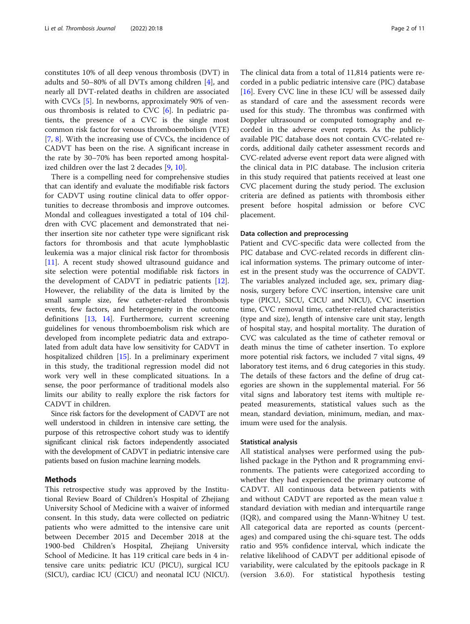constitutes 10% of all deep venous thrombosis (DVT) in adults and 50–80% of all DVTs among children [[4\]](#page-9-0), and nearly all DVT-related deaths in children are associated with CVCs [\[5](#page-9-0)]. In newborns, approximately 90% of venous thrombosis is related to CVC [\[6](#page-9-0)]. In pediatric patients, the presence of a CVC is the single most common risk factor for venous thromboembolism (VTE) [[7,](#page-9-0) [8\]](#page-9-0). With the increasing use of CVCs, the incidence of CADVT has been on the rise. A significant increase in the rate by 30–70% has been reported among hospitalized children over the last 2 decades [[9,](#page-9-0) [10](#page-9-0)].

There is a compelling need for comprehensive studies that can identify and evaluate the modifiable risk factors for CADVT using routine clinical data to offer opportunities to decrease thrombosis and improve outcomes. Mondal and colleagues investigated a total of 104 children with CVC placement and demonstrated that neither insertion site nor catheter type were significant risk factors for thrombosis and that acute lymphoblastic leukemia was a major clinical risk factor for thrombosis [[11\]](#page-9-0). A recent study showed ultrasound guidance and site selection were potential modifiable risk factors in the development of CADVT in pediatric patients [\[12](#page-9-0)]. However, the reliability of the data is limited by the small sample size, few catheter-related thrombosis events, few factors, and heterogeneity in the outcome definitions [\[13](#page-9-0), [14\]](#page-9-0). Furthermore, current screening guidelines for venous thromboembolism risk which are developed from incomplete pediatric data and extrapolated from adult data have low sensitivity for CADVT in hospitalized children [\[15\]](#page-9-0). In a preliminary experiment in this study, the traditional regression model did not work very well in these complicated situations. In a sense, the poor performance of traditional models also limits our ability to really explore the risk factors for CADVT in children.

Since risk factors for the development of CADVT are not well understood in children in intensive care setting, the purpose of this retrospective cohort study was to identify significant clinical risk factors independently associated with the development of CADVT in pediatric intensive care patients based on fusion machine learning models.

### Methods

This retrospective study was approved by the Institutional Review Board of Children's Hospital of Zhejiang University School of Medicine with a waiver of informed consent. In this study, data were collected on pediatric patients who were admitted to the intensive care unit between December 2015 and December 2018 at the 1900-bed Children's Hospital, Zhejiang University School of Medicine. It has 119 critical care beds in 4 intensive care units: pediatric ICU (PICU), surgical ICU (SICU), cardiac ICU (CICU) and neonatal ICU (NICU).

The clinical data from a total of 11,814 patients were recorded in a public pediatric intensive care (PIC) database [[16\]](#page-9-0). Every CVC line in these ICU will be assessed daily as standard of care and the assessment records were used for this study. The thrombus was confirmed with Doppler ultrasound or computed tomography and recorded in the adverse event reports. As the publicly available PIC database does not contain CVC-related records, additional daily catheter assessment records and CVC-related adverse event report data were aligned with the clinical data in PIC database. The inclusion criteria in this study required that patients received at least one CVC placement during the study period. The exclusion criteria are defined as patients with thrombosis either present before hospital admission or before CVC placement.

## Data collection and preprocessing

Patient and CVC-specific data were collected from the PIC database and CVC-related records in different clinical information systems. The primary outcome of interest in the present study was the occurrence of CADVT. The variables analyzed included age, sex, primary diagnosis, surgery before CVC insertion, intensive care unit type (PICU, SICU, CICU and NICU), CVC insertion time, CVC removal time, catheter-related characteristics (type and size), length of intensive care unit stay, length of hospital stay, and hospital mortality. The duration of CVC was calculated as the time of catheter removal or death minus the time of catheter insertion. To explore more potential risk factors, we included 7 vital signs, 49 laboratory test items, and 6 drug categories in this study. The details of these factors and the define of drug categories are shown in the supplemental material. For 56 vital signs and laboratory test items with multiple repeated measurements, statistical values such as the mean, standard deviation, minimum, median, and maximum were used for the analysis.

## Statistical analysis

All statistical analyses were performed using the published package in the Python and R programming environments. The patients were categorized according to whether they had experienced the primary outcome of CADVT. All continuous data between patients with and without CADVT are reported as the mean value ± standard deviation with median and interquartile range (IQR), and compared using the Mann-Whitney U test. All categorical data are reported as counts (percentages) and compared using the chi-square test. The odds ratio and 95% confidence interval, which indicate the relative likelihood of CADVT per additional episode of variability, were calculated by the epitools package in R (version 3.6.0). For statistical hypothesis testing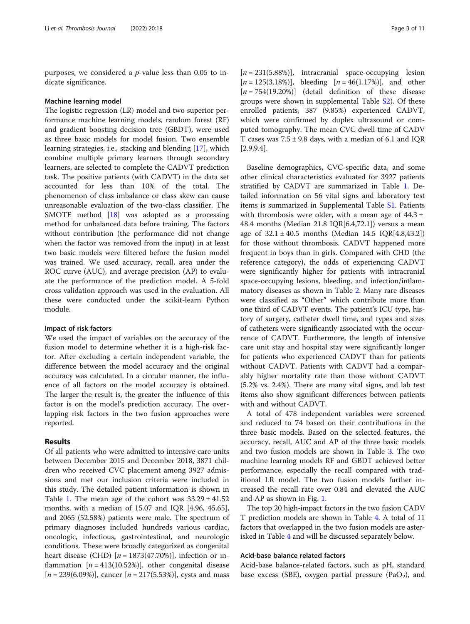purposes, we considered a  $p$ -value less than 0.05 to indicate significance.

#### Machine learning model

The logistic regression (LR) model and two superior performance machine learning models, random forest (RF) and gradient boosting decision tree (GBDT), were used as three basic models for model fusion. Two ensemble learning strategies, i.e., stacking and blending [\[17\]](#page-9-0), which combine multiple primary learners through secondary learners, are selected to complete the CADVT prediction task. The positive patients (with CADVT) in the data set accounted for less than 10% of the total. The phenomenon of class imbalance or class skew can cause unreasonable evaluation of the two-class classifier. The SMOTE method [\[18\]](#page-9-0) was adopted as a processing method for unbalanced data before training. The factors without contribution (the performance did not change when the factor was removed from the input) in at least two basic models were filtered before the fusion model was trained. We used accuracy, recall, area under the ROC curve (AUC), and average precision (AP) to evaluate the performance of the prediction model. A 5-fold cross validation approach was used in the evaluation. All these were conducted under the scikit-learn Python module.

## Impact of risk factors

We used the impact of variables on the accuracy of the fusion model to determine whether it is a high-risk factor. After excluding a certain independent variable, the difference between the model accuracy and the original accuracy was calculated. In a circular manner, the influence of all factors on the model accuracy is obtained. The larger the result is, the greater the influence of this factor is on the model's prediction accuracy. The overlapping risk factors in the two fusion approaches were reported.

## Results

Of all patients who were admitted to intensive care units between December 2015 and December 2018, 3871 children who received CVC placement among 3927 admissions and met our inclusion criteria were included in this study. The detailed patient information is shown in Table [1.](#page-3-0) The mean age of the cohort was  $33.29 \pm 41.52$ months, with a median of 15.07 and IQR [4.96, 45.65], and 2065 (52.58%) patients were male. The spectrum of primary diagnoses included hundreds various cardiac, oncologic, infectious, gastrointestinal, and neurologic conditions. These were broadly categorized as congenital heart disease (CHD)  $[n = 1873(47.70\%)]$ , infection or inflammation  $[n = 413(10.52\%)]$ , other congenital disease  $[n = 239(6.09\%)]$ , cancer  $[n = 217(5.53\%)]$ , cysts and mass

 $[n = 231(5.88\%)]$ , intracranial space-occupying lesion  $[n = 125(3.18\%)]$ , bleeding  $[n = 46(1.17\%)]$ , and other  $[n = 754(19.20\%)]$  (detail definition of these disease groups were shown in supplemental Table [S2\)](#page-8-0). Of these enrolled patients, 387 (9.85%) experienced CADVT, which were confirmed by duplex ultrasound or computed tomography. The mean CVC dwell time of CADV T cases was  $7.5 \pm 9.8$  days, with a median of 6.1 and IQR [2.9,9.4].

Baseline demographics, CVC-specific data, and some other clinical characteristics evaluated for 3927 patients stratified by CADVT are summarized in Table [1](#page-3-0). Detailed information on 56 vital signs and laboratory test items is summarized in Supplemental Table [S1.](#page-8-0) Patients with thrombosis were older, with a mean age of  $44.3 \pm$ 48.4 months (Median 21.8  $IQR[6.4,72.1]$ ) versus a mean age of  $32.1 \pm 40.5$  months (Median 14.5 IQR[4.8,43.2]) for those without thrombosis. CADVT happened more frequent in boys than in girls. Compared with CHD (the reference category), the odds of experiencing CADVT were significantly higher for patients with intracranial space-occupying lesions, bleeding, and infection/inflammatory diseases as shown in Table [2](#page-4-0). Many rare diseases were classified as "Other" which contribute more than one third of CADVT events. The patient's ICU type, history of surgery, catheter dwell time, and types and sizes of catheters were significantly associated with the occurrence of CADVT. Furthermore, the length of intensive care unit stay and hospital stay were significantly longer for patients who experienced CADVT than for patients without CADVT. Patients with CADVT had a comparably higher mortality rate than those without CADVT (5.2% vs. 2.4%). There are many vital signs, and lab test items also show significant differences between patients with and without CADVT.

A total of 478 independent variables were screened and reduced to 74 based on their contributions in the three basic models. Based on the selected features, the accuracy, recall, AUC and AP of the three basic models and two fusion models are shown in Table [3.](#page-4-0) The two machine learning models RF and GBDT achieved better performance, especially the recall compared with traditional LR model. The two fusion models further increased the recall rate over 0.84 and elevated the AUC and AP as shown in Fig. [1.](#page-5-0)

The top 20 high-impact factors in the two fusion CADV T prediction models are shown in Table [4.](#page-6-0) A total of 11 factors that overlapped in the two fusion models are asterisked in Table [4](#page-6-0) and will be discussed separately below.

## Acid-base balance related factors

Acid-base balance-related factors, such as pH, standard base excess (SBE), oxygen partial pressure (PaO<sub>2</sub>), and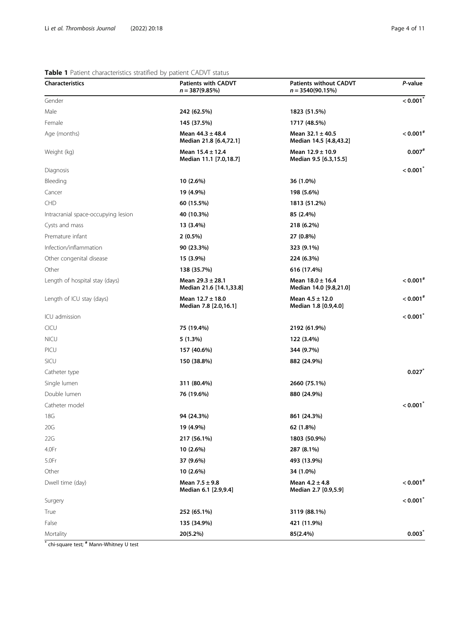## <span id="page-3-0"></span>Table 1 Patient characteristics stratified by patient CADVT status

| <b>Characteristics</b>              | <b>Patients with CADVT</b><br>$n = 387(9.85%)$  | <b>Patients without CADVT</b><br>$n = 3540(90.15%)$ | P-value                |
|-------------------------------------|-------------------------------------------------|-----------------------------------------------------|------------------------|
| Gender                              |                                                 |                                                     | $< 0.001^{*}$          |
| Male                                | 242 (62.5%)                                     | 1823 (51.5%)                                        |                        |
| Female                              | 145 (37.5%)                                     | 1717 (48.5%)                                        |                        |
| Age (months)                        | Mean $44.3 \pm 48.4$<br>Median 21.8 [6.4,72.1]  | Mean $32.1 \pm 40.5$<br>Median 14.5 [4.8,43.2]      | $< 0.001$ <sup>#</sup> |
| Weight (kg)                         | Mean $15.4 \pm 12.4$<br>Median 11.1 [7.0,18.7]  | Mean $12.9 \pm 10.9$<br>Median 9.5 [6.3,15.5]       | $0.007$ #              |
| Diagnosis                           |                                                 |                                                     | < 0.001                |
| Bleeding                            | 10 (2.6%)                                       | 36 (1.0%)                                           |                        |
| Cancer                              | 19 (4.9%)                                       | 198 (5.6%)                                          |                        |
| <b>CHD</b>                          | 60 (15.5%)                                      | 1813 (51.2%)                                        |                        |
| Intracranial space-occupying lesion | 40 (10.3%)                                      | 85 (2.4%)                                           |                        |
| Cysts and mass                      | 13 (3.4%)                                       | 218 (6.2%)                                          |                        |
| Premature infant                    | $2(0.5\%)$                                      | 27 (0.8%)                                           |                        |
| Infection/inflammation              | 90 (23.3%)                                      | 323 (9.1%)                                          |                        |
| Other congenital disease            | 15 (3.9%)                                       | 224 (6.3%)                                          |                        |
| Other                               | 138 (35.7%)                                     | 616 (17.4%)                                         |                        |
| Length of hospital stay (days)      | Mean $29.3 \pm 28.1$<br>Median 21.6 [14.1,33.8] | Mean $18.0 \pm 16.4$<br>Median 14.0 [9.8,21.0]      | $< 0.001$ <sup>#</sup> |
| Length of ICU stay (days)           | Mean $12.7 \pm 18.0$<br>Median 7.8 [2.0,16.1]   | Mean $4.5 \pm 12.0$<br>Median 1.8 [0.9,4.0]         | $< 0.001$ <sup>#</sup> |
| ICU admission                       |                                                 |                                                     | < 0.001                |
| CICU                                | 75 (19.4%)                                      | 2192 (61.9%)                                        |                        |
| <b>NICU</b>                         | 5(1.3%)                                         | 122 (3.4%)                                          |                        |
| PICU                                | 157 (40.6%)                                     | 344 (9.7%)                                          |                        |
| <b>SICU</b>                         | 150 (38.8%)                                     | 882 (24.9%)                                         |                        |
| Catheter type                       |                                                 |                                                     | 0.027                  |
| Single lumen                        | 311 (80.4%)                                     | 2660 (75.1%)                                        |                        |
| Double lumen                        | 76 (19.6%)                                      | 880 (24.9%)                                         |                        |
| Catheter model                      |                                                 |                                                     | < 0.001                |
| 18G                                 | 94 (24.3%)                                      | 861 (24.3%)                                         |                        |
| 20G                                 | 19 (4.9%)                                       | 62 (1.8%)                                           |                        |
| 22G                                 | 217 (56.1%)                                     | 1803 (50.9%)                                        |                        |
| 4.0Fr                               | 10 (2.6%)                                       | 287 (8.1%)                                          |                        |
| 5.0Fr                               | 37 (9.6%)                                       | 493 (13.9%)                                         |                        |
| Other                               | 10 (2.6%)                                       | 34 (1.0%)                                           |                        |
| Dwell time (day)                    | Mean $7.5 \pm 9.8$<br>Median 6.1 [2.9,9.4]      | Mean $4.2 \pm 4.8$<br>Median 2.7 [0.9,5.9]          | $< 0.001$ #            |
| Surgery                             |                                                 |                                                     | < 0.001                |
| True                                | 252 (65.1%)                                     | 3119 (88.1%)                                        |                        |
| False                               | 135 (34.9%)                                     | 421 (11.9%)                                         |                        |
| Mortality                           | 20(5.2%)                                        | 85(2.4%)                                            | $0.003^*$              |

\* chi-square test; # Mann-Whitney U test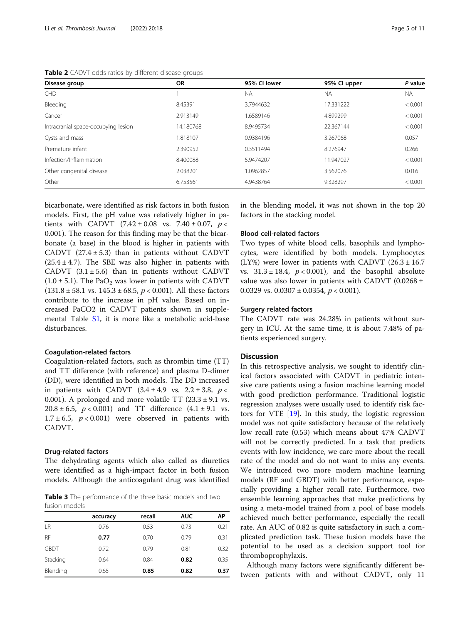<span id="page-4-0"></span>Table 2 CADVT odds ratios by different disease groups

| Disease group                       | <b>OR</b> | 95% CI lower | 95% Cl upper | P value   |
|-------------------------------------|-----------|--------------|--------------|-----------|
| <b>CHD</b>                          |           | <b>NA</b>    | <b>NA</b>    | <b>NA</b> |
| Bleeding                            | 8.45391   | 3.7944632    | 17.331222    | < 0.001   |
| Cancer                              | 2.913149  | 1.6589146    | 4.899299     | < 0.001   |
| Intracranial space-occupying lesion | 14.180768 | 8.9495734    | 22.367144    | < 0.001   |
| Cysts and mass                      | .818107   | 0.9384196    | 3.267068     | 0.057     |
| Premature infant                    | 2.390952  | 0.3511494    | 8.276947     | 0.266     |
| Infection/Inflammation              | 8.400088  | 5.9474207    | 11.947027    | < 0.001   |
| Other congenital disease            | 2.038201  | 1.0962857    | 3.562076     | 0.016     |
| Other                               | 6.753561  | 4.9438764    | 9.328297     | < 0.001   |

bicarbonate, were identified as risk factors in both fusion models. First, the pH value was relatively higher in patients with CADVT  $(7.42 \pm 0.08 \text{ vs. } 7.40 \pm 0.07, p <$ 0.001). The reason for this finding may be that the bicarbonate (a base) in the blood is higher in patients with CADVT  $(27.4 \pm 5.3)$  than in patients without CADVT  $(25.4 \pm 4.7)$ . The SBE was also higher in patients with CADVT  $(3.1 \pm 5.6)$  than in patients without CADVT  $(1.0 \pm 5.1)$ . The PaO<sub>2</sub> was lower in patients with CADVT  $(131.8 \pm 58.1 \text{ vs. } 145.3 \pm 68.5, p < 0.001)$ . All these factors contribute to the increase in pH value. Based on increased PaCO2 in CADVT patients shown in supplemental Table [S1,](#page-8-0) it is more like a metabolic acid-base disturbances.

## Coagulation-related factors

Coagulation-related factors, such as thrombin time (TT) and TT difference (with reference) and plasma D-dimer (DD), were identified in both models. The DD increased in patients with CADVT  $(3.4 \pm 4.9 \text{ vs. } 2.2 \pm 3.8, p <$ 0.001). A prolonged and more volatile TT  $(23.3 \pm 9.1 \text{ vs.})$ 20.8 ± 6.5,  $p < 0.001$ ) and TT difference  $(4.1 \pm 9.1 \text{ vs.})$  $1.7 \pm 6.5$ ,  $p < 0.001$ ) were observed in patients with CADVT.

## Drug-related factors

The dehydrating agents which also called as diuretics were identified as a high-impact factor in both fusion models. Although the anticoagulant drug was identified

Table 3 The performance of the three basic models and two fusion models

|             | accuracy | recall | <b>AUC</b> | AP   |
|-------------|----------|--------|------------|------|
| LR          | 0.76     | 0.53   | 0.73       | 0.21 |
| <b>RF</b>   | 0.77     | 0.70   | 0.79       | 0.31 |
| <b>GBDT</b> | 0.72     | 0.79   | 0.81       | 0.32 |
| Stacking    | 0.64     | 0.84   | 0.82       | 0.35 |
| Blending    | 0.65     | 0.85   | 0.82       | 0.37 |

in the blending model, it was not shown in the top 20 factors in the stacking model.

#### Blood cell-related factors

Two types of white blood cells, basophils and lymphocytes, were identified by both models. Lymphocytes (LY%) were lower in patients with CADVT  $(26.3 \pm 16.7)$ vs.  $31.3 \pm 18.4$ ,  $p < 0.001$ ), and the basophil absolute value was also lower in patients with CADVT (0.0268  $\pm$ 0.0329 vs.  $0.0307 \pm 0.0354$ ,  $p < 0.001$ ).

## Surgery related factors

The CADVT rate was 24.28% in patients without surgery in ICU. At the same time, it is about 7.48% of patients experienced surgery.

## Discussion

In this retrospective analysis, we sought to identify clinical factors associated with CADVT in pediatric intensive care patients using a fusion machine learning model with good prediction performance. Traditional logistic regression analyses were usually used to identify risk factors for VTE [[19\]](#page-9-0). In this study, the logistic regression model was not quite satisfactory because of the relatively low recall rate (0.53) which means about 47% CADVT will not be correctly predicted. In a task that predicts events with low incidence, we care more about the recall rate of the model and do not want to miss any events. We introduced two more modern machine learning models (RF and GBDT) with better performance, especially providing a higher recall rate. Furthermore, two ensemble learning approaches that make predictions by using a meta-model trained from a pool of base models achieved much better performance, especially the recall rate. An AUC of 0.82 is quite satisfactory in such a complicated prediction task. These fusion models have the potential to be used as a decision support tool for thromboprophylaxis.

Although many factors were significantly different between patients with and without CADVT, only 11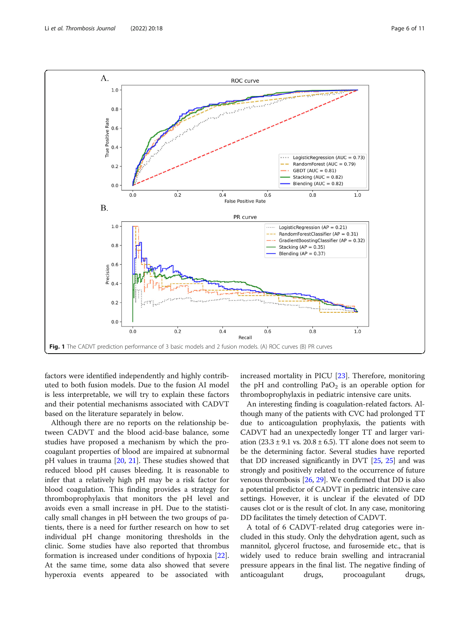<span id="page-5-0"></span>

factors were identified independently and highly contributed to both fusion models. Due to the fusion AI model is less interpretable, we will try to explain these factors and their potential mechanisms associated with CADVT based on the literature separately in below.

Although there are no reports on the relationship between CADVT and the blood acid-base balance, some studies have proposed a mechanism by which the procoagulant properties of blood are impaired at subnormal pH values in trauma [[20,](#page-9-0) [21\]](#page-9-0). These studies showed that reduced blood pH causes bleeding. It is reasonable to infer that a relatively high pH may be a risk factor for blood coagulation. This finding provides a strategy for thromboprophylaxis that monitors the pH level and avoids even a small increase in pH. Due to the statistically small changes in pH between the two groups of patients, there is a need for further research on how to set individual pH change monitoring thresholds in the clinic. Some studies have also reported that thrombus formation is increased under conditions of hypoxia [\[22](#page-9-0)]. At the same time, some data also showed that severe hyperoxia events appeared to be associated with increased mortality in PICU [[23\]](#page-9-0). Therefore, monitoring the pH and controlling  $PaO<sub>2</sub>$  is an operable option for thromboprophylaxis in pediatric intensive care units.

An interesting finding is coagulation-related factors. Although many of the patients with CVC had prolonged TT due to anticoagulation prophylaxis, the patients with CADVT had an unexpectedly longer TT and larger variation  $(23.3 \pm 9.1 \text{ vs. } 20.8 \pm 6.5)$ . TT alone does not seem to be the determining factor. Several studies have reported that DD increased significantly in DVT [\[25,](#page-9-0) [25](#page-9-0)] and was strongly and positively related to the occurrence of future venous thrombosis [\[26,](#page-9-0) [29](#page-9-0)]. We confirmed that DD is also a potential predictor of CADVT in pediatric intensive care settings. However, it is unclear if the elevated of DD causes clot or is the result of clot. In any case, monitoring DD facilitates the timely detection of CADVT.

A total of 6 CADVT-related drug categories were included in this study. Only the dehydration agent, such as mannitol, glycerol fructose, and furosemide etc., that is widely used to reduce brain swelling and intracranial pressure appears in the final list. The negative finding of anticoagulant drugs, procoagulant drugs,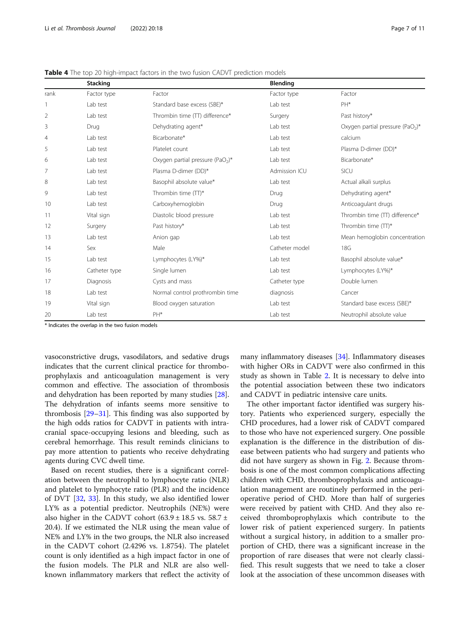|                | <b>Stacking</b> |                                              | <b>Blending</b> |                                              |
|----------------|-----------------|----------------------------------------------|-----------------|----------------------------------------------|
| rank           | Factor type     | Factor                                       | Factor type     | Factor                                       |
|                | Lab test        | Standard base excess (SBE)*                  | Lab test        | PH*                                          |
| 2              | Lab test        | Thrombin time (TT) difference*               | Surgery         | Past history*                                |
| 3              | Drug            | Dehydrating agent*                           | Lab test        | Oxygen partial pressure (PaO <sub>2</sub> )* |
| $\overline{4}$ | Lab test        | Bicarbonate*                                 | Lab test        | calcium                                      |
| 5              | Lab test        | Platelet count                               | Lab test        | Plasma D-dimer (DD)*                         |
| 6              | Lab test        | Oxygen partial pressure (PaO <sub>2</sub> )* | Lab test        | Bicarbonate*                                 |
| 7              | Lab test        | Plasma D-dimer (DD)*                         | Admission ICU   | SICU                                         |
| 8              | Lab test        | Basophil absolute value*                     | Lab test        | Actual alkali surplus                        |
| 9              | Lab test        | Thrombin time (TT)*                          | Drug            | Dehydrating agent*                           |
| 10             | Lab test        | Carboxyhemoglobin                            | Drug            | Anticoagulant drugs                          |
| 11             | Vital sign      | Diastolic blood pressure                     | Lab test        | Thrombin time (TT) difference*               |
| 12             | Surgery         | Past history*                                | Lab test        | Thrombin time (TT)*                          |
| 13             | Lab test        | Anion gap                                    | Lab test        | Mean hemoglobin concentration                |
| 14             | Sex             | Male                                         | Catheter model  | 18G                                          |
| 15             | Lab test        | Lymphocytes (LY%)*                           | Lab test        | Basophil absolute value*                     |
| 16             | Catheter type   | Single lumen                                 | Lab test        | Lymphocytes (LY%)*                           |
| 17             | Diagnosis       | Cysts and mass                               | Catheter type   | Double lumen                                 |
| 18             | Lab test        | Normal control prothrombin time              | diagnosis       | Cancer                                       |
| 19             | Vital sign      | Blood oxygen saturation                      | Lab test        | Standard base excess (SBE)*                  |
| 20             | Lab test        | PH*                                          | Lab test        | Neutrophil absolute value                    |

<span id="page-6-0"></span>Table 4 The top 20 high-impact factors in the two fusion CADVT prediction models

\* Indicates the overlap in the two fusion models

vasoconstrictive drugs, vasodilators, and sedative drugs indicates that the current clinical practice for thromboprophylaxis and anticoagulation management is very common and effective. The association of thrombosis and dehydration has been reported by many studies [\[28](#page-9-0)]. The dehydration of infants seems more sensitive to thrombosis [\[29](#page-9-0)–[31\]](#page-9-0). This finding was also supported by the high odds ratios for CADVT in patients with intracranial space-occupying lesions and bleeding, such as cerebral hemorrhage. This result reminds clinicians to pay more attention to patients who receive dehydrating agents during CVC dwell time.

Based on recent studies, there is a significant correlation between the neutrophil to lymphocyte ratio (NLR) and platelet to lymphocyte ratio (PLR) and the incidence of DVT [\[32](#page-10-0), [33\]](#page-10-0). In this study, we also identified lower LY% as a potential predictor. Neutrophils (NE%) were also higher in the CADVT cohort  $(63.9 \pm 18.5 \text{ vs. } 58.7 \pm 10.5 \text{ vs. } 10.5 \pm 10.5 \text{ vs. } 10.5 \pm 10.5 \text{ vs. } 10.5 \pm 10.5 \text{ vs. } 10.5 \pm 10.5 \text{ vs. } 10.5 \pm 10.5 \text{ vs. } 10.5 \pm 10.5 \text{ vs. } 10.5 \pm 10.5 \text{ vs. } 10.5 \pm 10.5 \text{ vs. } 10.5 \pm$ 20.4). If we estimated the NLR using the mean value of NE% and LY% in the two groups, the NLR also increased in the CADVT cohort (2.4296 vs. 1.8754). The platelet count is only identified as a high impact factor in one of the fusion models. The PLR and NLR are also wellknown inflammatory markers that reflect the activity of

many inflammatory diseases [\[34](#page-10-0)]. Inflammatory diseases with higher ORs in CADVT were also confirmed in this study as shown in Table [2](#page-4-0). It is necessary to delve into the potential association between these two indicators and CADVT in pediatric intensive care units.

The other important factor identified was surgery history. Patients who experienced surgery, especially the CHD procedures, had a lower risk of CADVT compared to those who have not experienced surgery. One possible explanation is the difference in the distribution of disease between patients who had surgery and patients who did not have surgery as shown in Fig. [2](#page-7-0). Because thrombosis is one of the most common complications affecting children with CHD, thromboprophylaxis and anticoagulation management are routinely performed in the perioperative period of CHD. More than half of surgeries were received by patient with CHD. And they also received thromboprophylaxis which contribute to the lower risk of patient experienced surgery. In patients without a surgical history, in addition to a smaller proportion of CHD, there was a significant increase in the proportion of rare diseases that were not clearly classified. This result suggests that we need to take a closer look at the association of these uncommon diseases with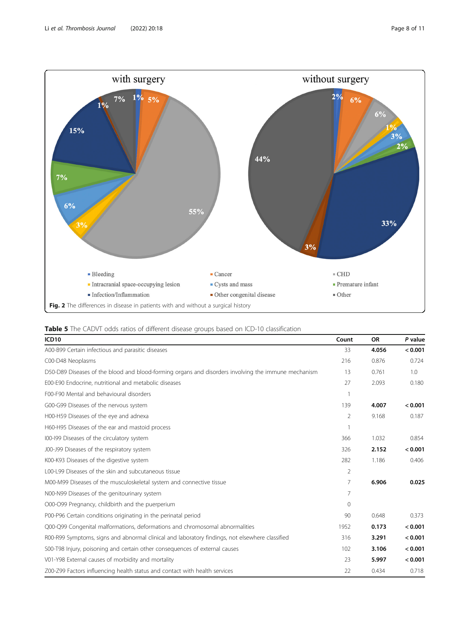<span id="page-7-0"></span>

| Table 5 The CADVT odds ratios of different disease groups based on ICD-10 classification |  |
|------------------------------------------------------------------------------------------|--|
|------------------------------------------------------------------------------------------|--|

| ICD <sub>10</sub>                                                                                   | Count          | <b>OR</b> | P value |
|-----------------------------------------------------------------------------------------------------|----------------|-----------|---------|
| A00-B99 Certain infectious and parasitic diseases                                                   | 33             | 4.056     | < 0.001 |
| C00-D48 Neoplasms                                                                                   | 216            | 0.876     | 0.724   |
| D50-D89 Diseases of the blood and blood-forming organs and disorders involving the immune mechanism | 13             | 0.761     | 1.0     |
| E00-E90 Endocrine, nutritional and metabolic diseases                                               | 27             | 2.093     | 0.180   |
| F00-F90 Mental and behavioural disorders                                                            |                |           |         |
| G00-G99 Diseases of the nervous system                                                              | 139            | 4.007     | < 0.001 |
| H00-H59 Diseases of the eye and adnexa                                                              | 2              | 9.168     | 0.187   |
| H60-H95 Diseases of the ear and mastoid process                                                     |                |           |         |
| 100-199 Diseases of the circulatory system                                                          | 366            | 1.032     | 0.854   |
| J00-J99 Diseases of the respiratory system                                                          | 326            | 2.152     | < 0.001 |
| K00-K93 Diseases of the digestive system                                                            | 282            | 1.186     | 0.406   |
| L00-L99 Diseases of the skin and subcutaneous tissue                                                | 2              |           |         |
| M00-M99 Diseases of the musculoskeletal system and connective tissue                                | $\overline{7}$ | 6.906     | 0.025   |
| N00-N99 Diseases of the genitourinary system                                                        | 7              |           |         |
| 000-099 Pregnancy, childbirth and the puerperium                                                    | $\Omega$       |           |         |
| P00-P96 Certain conditions originating in the perinatal period                                      | 90             | 0.648     | 0.373   |
| Q00-Q99 Congenital malformations, deformations and chromosomal abnormalities                        | 1952           | 0.173     | < 0.001 |
| R00-R99 Symptoms, signs and abnormal clinical and laboratory findings, not elsewhere classified     | 316            | 3.291     | < 0.001 |
| S00-T98 Injury, poisoning and certain other consequences of external causes                         | 102            | 3.106     | < 0.001 |
| V01-Y98 External causes of morbidity and mortality                                                  | 23             | 5.997     | < 0.001 |
| Z00-Z99 Factors influencing health status and contact with health services                          | 22             | 0.434     | 0.718   |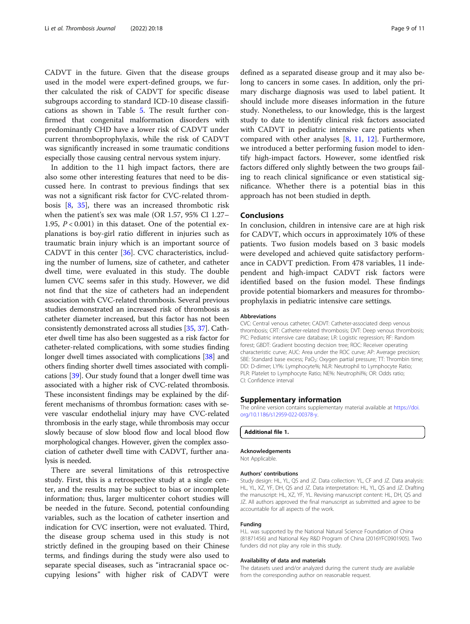<span id="page-8-0"></span>CADVT in the future. Given that the disease groups used in the model were expert-defined groups, we further calculated the risk of CADVT for specific disease subgroups according to standard ICD-10 disease classifications as shown in Table [5.](#page-7-0) The result further confirmed that congenital malformation disorders with predominantly CHD have a lower risk of CADVT under current thromboprophylaxis, while the risk of CADVT was significantly increased in some traumatic conditions especially those causing central nervous system injury.

In addition to the 11 high impact factors, there are also some other interesting features that need to be discussed here. In contrast to previous findings that sex was not a significant risk factor for CVC-related thrombosis [[8,](#page-9-0) [35\]](#page-10-0), there was an increased thrombotic risk when the patient's sex was male (OR 1.57, 95% CI 1.27– 1.95,  $P < 0.001$ ) in this dataset. One of the potential explanations is boy-girl ratio different in injuries such as traumatic brain injury which is an important source of CADVT in this center [[36\]](#page-10-0). CVC characteristics, including the number of lumens, size of catheter, and catheter dwell time, were evaluated in this study. The double lumen CVC seems safer in this study. However, we did not find that the size of catheters had an independent association with CVC-related thrombosis. Several previous studies demonstrated an increased risk of thrombosis as catheter diameter increased, but this factor has not been consistently demonstrated across all studies [\[35,](#page-10-0) [37](#page-10-0)]. Catheter dwell time has also been suggested as a risk factor for catheter-related complications, with some studies finding longer dwell times associated with complications [[38\]](#page-10-0) and others finding shorter dwell times associated with complications [[39](#page-10-0)]. Our study found that a longer dwell time was associated with a higher risk of CVC-related thrombosis. These inconsistent findings may be explained by the different mechanisms of thrombus formation: cases with severe vascular endothelial injury may have CVC-related thrombosis in the early stage, while thrombosis may occur slowly because of slow blood flow and local blood flow morphological changes. However, given the complex association of catheter dwell time with CADVT, further analysis is needed.

There are several limitations of this retrospective study. First, this is a retrospective study at a single center, and the results may be subject to bias or incomplete information; thus, larger multicenter cohort studies will be needed in the future. Second, potential confounding variables, such as the location of catheter insertion and indication for CVC insertion, were not evaluated. Third, the disease group schema used in this study is not strictly defined in the grouping based on their Chinese terms, and findings during the study were also used to separate special diseases, such as "intracranial space occupying lesions" with higher risk of CADVT were

defined as a separated disease group and it may also belong to cancers in some cases. In addition, only the primary discharge diagnosis was used to label patient. It should include more diseases information in the future study. Nonetheless, to our knowledge, this is the largest study to date to identify clinical risk factors associated with CADVT in pediatric intensive care patients when compared with other analyses [[8,](#page-9-0) [11,](#page-9-0) [12\]](#page-9-0). Furthermore, we introduced a better performing fusion model to identify high-impact factors. However, some identfied risk factors differed only slightly between the two groups failing to reach clinical significance or even statistical significance. Whether there is a potential bias in this approach has not been studied in depth.

## Conclusions

In conclusion, children in intensive care are at high risk for CADVT, which occurs in approximately 10% of these patients. Two fusion models based on 3 basic models were developed and achieved quite satisfactory performance in CADVT prediction. From 478 variables, 11 independent and high-impact CADVT risk factors were identified based on the fusion model. These findings provide potential biomarkers and measures for thromboprophylaxis in pediatric intensive care settings.

#### Abbreviations

CVC: Central venous catheter; CADVT: Catheter-associated deep venous thrombosis; CRT: Catheter-related thrombosis; DVT: Deep venous thrombosis; PIC: Pediatric intensive care database; LR: Logistic regression; RF: Random forest; GBDT: Gradient boosting decision tree; ROC: Receiver operating characteristic curve; AUC: Area under the ROC curve; AP: Average precision; SBE: Standard base excess; PaO<sub>2</sub>: Oxygen partial pressure; TT: Thrombin time; DD: D-dimer; LY%: Lymphocyte%; NLR: Neutrophil to Lymphocyte Ratio; PLR: Platelet to Lymphocyte Ratio; NE%: Neutrophil%; OR: Odds ratio; CI: Confidence interval

## Supplementary information

The online version contains supplementary material available at [https://doi.](https://doi.org/10.1186/s12959-022-00378-y) [org/10.1186/s12959-022-00378-y](https://doi.org/10.1186/s12959-022-00378-y).

#### Additional file 1.

#### Acknowledgements

Not Applicable.

#### Authors' contributions

Study design: HL, YL, QS and JZ. Data collection: YL, CF and JZ. Data analysis: HL, YL, XZ, YF, DH, QS and JZ. Data interpretation: HL, YL, QS and JZ. Drafting the manuscript: HL, XZ, YF, YL. Revising manuscript content: HL, DH, QS and JZ. All authors approved the final manuscript as submitted and agree to be accountable for all aspects of the work.

#### Funding

H.L. was supported by the National Natural Science Foundation of China (81871456) and National Key R&D Program of China (2016YFC0901905). Two funders did not play any role in this study.

#### Availability of data and materials

The datasets used and/or analyzed during the current study are available from the corresponding author on reasonable request.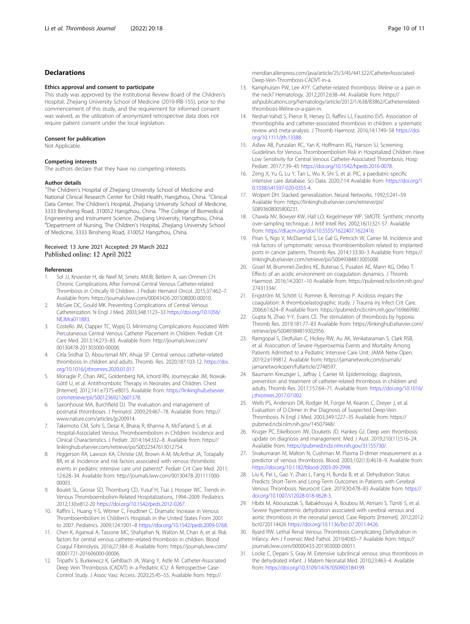## <span id="page-9-0"></span>Declarations

#### Ethics approval and consent to participate

This study was approved by the Institutional Review Board of the Children's Hospital, Zhejiang University School of Medicine (2019-IRB-155), prior to the commencement of this study, and the requirement for informed consent was waived, as the utilization of anonymized retrospective data does not require patient consent under the local legislation.

#### Consent for publication

Not Applicable.

#### Competing interests

The authors declare that they have no competing interests.

#### Author details

<sup>1</sup>The Children's Hospital of Zhejiang University School of Medicine and National Clinical Research Center for Child Health, Hangzhou, China. <sup>2</sup>Clinical Data Center, The Children's Hospital, Zhejiang University School of Medicine, 3333 Binsheng Road, 310052 Hangzhou, China. <sup>3</sup>The College of Biomedical Engineering and Instrument Science, Zhejiang University, Hangzhou, China. 4 Department of Nursing, The Children's Hospital, Zhejiang University School of Medicine, 3333 Binsheng Road, 310052 Hangzhou, China.

## Received: 13 June 2021 Accepted: 29 March 2022<br>Published online: 12 April 2022

#### References

- 1. Sol JJ, Knoester H, de Neef M, Smets AMJB, Betlem A, van Ommen CH. Chronic Complications After Femoral Central Venous Catheter-related Thrombosis in Critically Ill Children. J Pediatr Hematol Oncol. 2015;37:462–7. Available from: https://journals.lww.com/00043426-201508000-00010.
- 2. McGee DC, Gould MK. Preventing Complications of Central Venous Catheterization. N Engl J Med. 2003;348:1123–33 [https://doi.org/10.1056/](https://doi.org/10.1056/NEJMra011883) **NFIMra011883**
- 3. Costello JM, Clapper TC, Wypij D. Minimizing Complications Associated With Percutaneous Central Venous Catheter Placement in Children. Pediatr Crit Care Med. 2013;14:273–83. Available from: http://journals.lww.com/ 00130478-201303000-00006.
- 4. Citla Sridhar D, Abou-Ismail MY, Ahuja SP. Central venous catheter-related thrombosis in children and adults. Thromb. Res. 2020;187:103-12. [https://doi.](https://doi.org/10.1016/j.thromres.2020.01.017) [org/10.1016/j.thromres.2020.01.017.](https://doi.org/10.1016/j.thromres.2020.01.017)
- 5. Monagle P, Chan AKC, Goldenberg NA, Ichord RN, Journeycake JM, Nowak-Göttl U, et al. Antithrombotic Therapy in Neonates and Children. Chest [Internet]. 2012;141:e737S-e801S. Available from: [https://linkinghub.elsevier.](https://linkinghub.elsevier.com/retrieve/pii/S0012369212601378) [com/retrieve/pii/S0012369212601378.](https://linkinghub.elsevier.com/retrieve/pii/S0012369212601378)
- Saxonhouse MA, Burchfield DJ. The evaluation and management of postnatal thromboses. J Perinatol. 2009;29:467–78. Available from: http:// www.nature.com/articles/jp200914.
- 7. Takemoto CM, Sohi S, Desai K, Bharaj R, Khanna A, McFarland S, et al. Hospital-Associated Venous Thromboembolism in Children: Incidence and Clinical Characteristics. J Pediatr. 2014;164:332–8. Available from: https:// linkinghub.elsevier.com/retrieve/pii/S0022347613012754.
- 8. Higgerson RA, Lawson KA, Christie LM, Brown A-M, McArthur JA, Totapally BR, et al. Incidence and risk factors associated with venous thrombotic events in pediatric intensive care unit patients\*. Pediatr Crit Care Med. 2011; 12:628–34. Available from: http://journals.lww.com/00130478-201111000- 00003.
- 9. Boulet SL, Grosse SD, Thornburg CD, Yusuf H, Tsai J, Hooper WC. Trends in Venous Thromboembolism-Related Hospitalizations, 1994–2009. Pediatrics. 2012;130:e812-20 <https://doi.org/10.1542/peds.2012-0267>.
- 10. Raffini L, Huang Y-S, Witmer C, Feudtner C. Dramatic Increase in Venous Thromboembolism in Children's Hospitals in the United States From 2001 to 2007. Pediatrics. 2009;124:1001–8 [https://doi.org/10.1542/peds.2009-0768.](https://doi.org/10.1542/peds.2009-0768)
- 11. Chen K, Agarwal A, Tassone MC, Shahjahan N, Walton M, Chan A, et al. Risk factors for central venous catheter-related thrombosis in children. Blood Coagul Fibrinolysis. 2016;27:384–8. Available from: https://journals.lww.com/ 00001721-201606000-00006.
- 12. Tripathi S, Burkiewicz K, Gehlbach JA, Wang Y, Astle M. Catheter-Associated Deep Vein Thrombosis (CADVT) in a Pediatric ICU: A Retrospective Case-Control Study. J Assoc Vasc Access. 2020;25:45–55. Available from: http://

meridian.allenpress.com/java/article/25/3/45/441322/CatheterAssociated-Deep-Vein-Thrombosis-CADVT-in-a.

- 13. Kamphuisen PW, Lee AYY. Catheter-related thrombosis: lifeline or a pain in the neck? Hematology. 2012;2012:638–44. Available from: https:// ashpublications.org/hematology/article/2012/1/638/83862/Catheterrelatedthrombosis-lifeline-or-a-pain-in.
- 14. Neshat-Vahid S, Pierce R, Hersey D, Raffini LJ, Faustino EVS. Association of thrombophilia and catheter-associated thrombosis in children: a systematic review and meta-analysis. J Thromb Haemost. 2016;14:1749–58 [https://doi.](https://doi.org/10.1111/jth.13388) [org/10.1111/jth.13388.](https://doi.org/10.1111/jth.13388)
- 15. Asfaw AB, Punzalan RC, Yan K, Hoffmann RG, Hanson SJ. Screening Guidelines for Venous Thromboembolism Risk in Hospitalized Children Have Low Sensitivity for Central Venous Catheter-Associated Thrombosis. Hosp Pediatr. 2017;7:39–45 [https://doi.org/10.1542/hpeds.2016-0078.](https://doi.org/10.1542/hpeds.2016-0078)
- 16. Zeng X, Yu G, Lu Y, Tan L, Wu X, Shi S, et al. PIC, a paediatric-specific intensive care database. Sci Data. 2020;7:14 Available from: [https://doi.org/1](https://doi.org/10.1038/s41597-020-0355-4) [0.1038/s41597-020-0355-4.](https://doi.org/10.1038/s41597-020-0355-4)
- 17. Wolpert DH. Stacked generalization. Neural Networks. 1992;5:241–59 Available from: https://linkinghub.elsevier.com/retrieve/pii/ S0893608005800231.
- 18. Chawla NV, Bowyer KW, Hall LO, Kegelmeyer WP. SMOTE: Synthetic minority over-sampling technique. J Artif Intell Res. 2002;16(1):321-57. Available from: [https://dl.acm.org/doi/10.5555/1622407.1622416.](https://dl.acm.org/doi/10.5555/1622407.1622416)
- 19. Piran S, Ngo V, McDiarmid S, Le Gal G, Petrcich W, Carrier M. Incidence and risk factors of symptomatic venous thromboembolism related to implanted ports in cancer patients. Thromb Res. 2014;133:30–3 Available from: https:// linkinghub.elsevier.com/retrieve/pii/S0049384813005008.
- 20. Gissel M, Brummel-Ziedins KE, Butenas S, Pusateri AE, Mann KG, Orfeo T. Effects of an acidic environment on coagulation dynamics. J Thromb Haemost. 2016;14:2001–10 Available from: https://pubmed.ncbi.nlm.nih.gov/ 27431334/.
- 21. Engström M, Schött U, Romner B, Reinstrup P. Acidosis impairs the coagulation: A thromboelastographic study. J Trauma Inj Infect Crit Care. 2006;61:624–8 Available from: https://pubmed.ncbi.nlm.nih.gov/16966998/.
- 22. Gupta N, Zhao Y-Y, Evans CE. The stimulation of thrombosis by hypoxia. Thromb Res. 2019;181:77–83 Available from: https://linkinghub.elsevier.com/ retrieve/pii/S0049384819302956.
- 23. Ramgopal S, Dezfulian C, Hickey RW, Au AK, Venkataraman S, Clark RSB, et al. Association of Severe Hyperoxemia Events and Mortality Among Patients Admitted to a Pediatric Intensive Care Unit. JAMA Netw Open. 2019;2:e199812. Available from: https://jamanetwork.com/journals/ jamanetworkopen/fullarticle/2748597.
- 24. Baumann Kreuziger L, Jaffray J, Carrier M. Epidemiology, diagnosis, prevention and treatment of catheter-related thrombosis in children and adults. Thromb Res. 2017;157:64–71. Available from: [https://doi.org/10.1016/](https://doi.org/10.1016/j.thromres.2017.07.002) [j.thromres.2017.07.002](https://doi.org/10.1016/j.thromres.2017.07.002).
- 25. Wells PS, Anderson DR, Rodger M, Forgie M, Kearon C, Dreyer J, et al. Evaluation of D-Dimer in the Diagnosis of Suspected Deep-Vein Thrombosis. N Engl J Med. 2003;349:1227–35 Available from: https:// pubmed.ncbi.nlm.nih.gov/14507948/.
- 26. Kruger PC, Eikelboom JW, Douketis JD, Hankey GJ. Deep vein thrombosis: update on diagnosis and management. Med J Aust. 2019;210(11):516–24. Available from: <https://pubmed.ncbi.nlm.nih.gov/31155730/>.
- 27. Sivakumaran M, Malton N, Cushman M. Plasma D-dimer measurement as a predictor of venous thrombosis. Blood. 2003;102(13):4618–9. Available from: <https://doi.org/10.1182/blood-2003-09-2998>.
- 28. Liu K, Pei L, Gao Y, Zhao L, Fang H, Bunda B, et al. Dehydration Status Predicts Short-Term and Long-Term Outcomes in Patients with Cerebral Venous Thrombosis. Neurocrit Care. 2019;30:478–83 Available from: [https://](https://doi.org/10.1007/s12028-018-0628-3) [doi.org/10.1007/s12028-018-0628-3.](https://doi.org/10.1007/s12028-018-0628-3)
- 29. Hbibi M, Abourazzak S, Babakhouya A, Boubou M, Atmani S, Tizniti S, et al. Severe hypernatremic dehydration associated with cerebral venous and aortic thrombosis in the neonatal period. Case Reports [Internet]. 2012;2012: bcr0720114426 [https://doi.org/10.1136/bcr.07.2011.4426.](https://doi.org/10.1136/bcr.07.2011.4426)
- 30. Byard RW. Lethal Renal Venous Thrombosis Complicating Dehydration in Infancy. Am J Forensic Med Pathol. 2019;40:65–7 Available from: https:// journals.lww.com/00000433-201903000-00011.
- 31. Locke C, Depani S, Gray M. Extensive subclinical venous sinus thrombosis in the dehydrated infant. J Matern Neonatal Med. 2010;23:463–4. Available from: [https://doi.org/10.3109/14767050903184199.](https://doi.org/10.3109/14767050903184199)